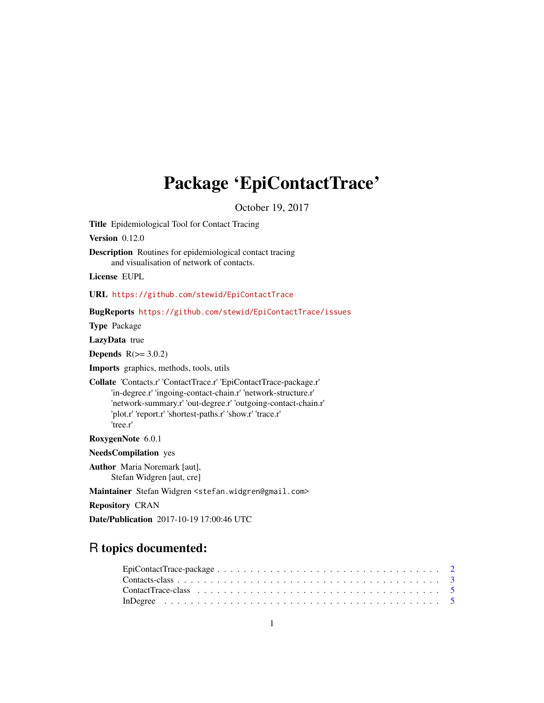# Package 'EpiContactTrace'

October 19, 2017

Title Epidemiological Tool for Contact Tracing

Version 0.12.0

Description Routines for epidemiological contact tracing and visualisation of network of contacts.

License EUPL

URL <https://github.com/stewid/EpiContactTrace>

BugReports <https://github.com/stewid/EpiContactTrace/issues>

Type Package

LazyData true

Depends  $R(>= 3.0.2)$ 

Imports graphics, methods, tools, utils

Collate 'Contacts.r' 'ContactTrace.r' 'EpiContactTrace-package.r' 'in-degree.r' 'ingoing-contact-chain.r' 'network-structure.r' 'network-summary.r' 'out-degree.r' 'outgoing-contact-chain.r' 'plot.r' 'report.r' 'shortest-paths.r' 'show.r' 'trace.r' 'tree.r'

RoxygenNote 6.0.1

NeedsCompilation yes

Author Maria Noremark [aut], Stefan Widgren [aut, cre]

Maintainer Stefan Widgren <stefan.widgren@gmail.com>

Repository CRAN

Date/Publication 2017-10-19 17:00:46 UTC

# R topics documented:

| $EpiContextTrace-package \ldots \ldots \ldots \ldots \ldots \ldots \ldots \ldots \ldots \ldots \ldots \ldots 2$ |  |
|-----------------------------------------------------------------------------------------------------------------|--|
|                                                                                                                 |  |
|                                                                                                                 |  |
|                                                                                                                 |  |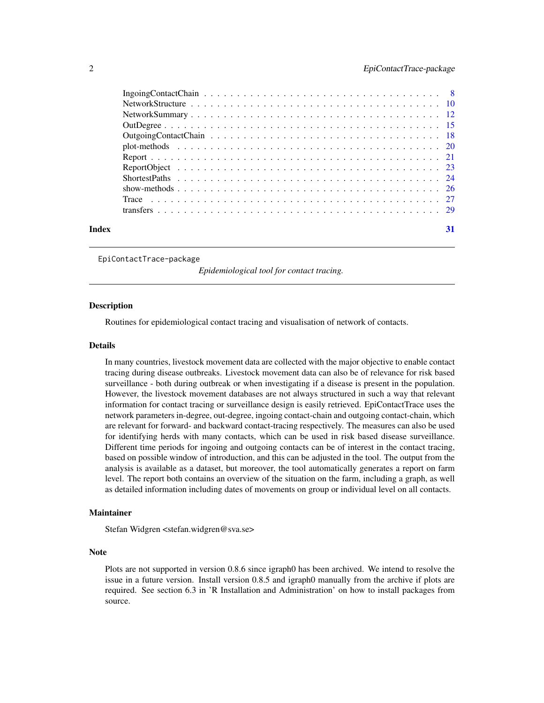<span id="page-1-0"></span>

| Index | 31 |
|-------|----|

EpiContactTrace-package

*Epidemiological tool for contact tracing.*

#### Description

Routines for epidemiological contact tracing and visualisation of network of contacts.

#### Details

In many countries, livestock movement data are collected with the major objective to enable contact tracing during disease outbreaks. Livestock movement data can also be of relevance for risk based surveillance - both during outbreak or when investigating if a disease is present in the population. However, the livestock movement databases are not always structured in such a way that relevant information for contact tracing or surveillance design is easily retrieved. EpiContactTrace uses the network parameters in-degree, out-degree, ingoing contact-chain and outgoing contact-chain, which are relevant for forward- and backward contact-tracing respectively. The measures can also be used for identifying herds with many contacts, which can be used in risk based disease surveillance. Different time periods for ingoing and outgoing contacts can be of interest in the contact tracing, based on possible window of introduction, and this can be adjusted in the tool. The output from the analysis is available as a dataset, but moreover, the tool automatically generates a report on farm level. The report both contains an overview of the situation on the farm, including a graph, as well as detailed information including dates of movements on group or individual level on all contacts.

#### Maintainer

Stefan Widgren <stefan.widgren@sva.se>

#### Note

Plots are not supported in version 0.8.6 since igraph0 has been archived. We intend to resolve the issue in a future version. Install version 0.8.5 and igraph0 manually from the archive if plots are required. See section 6.3 in 'R Installation and Administration' on how to install packages from source.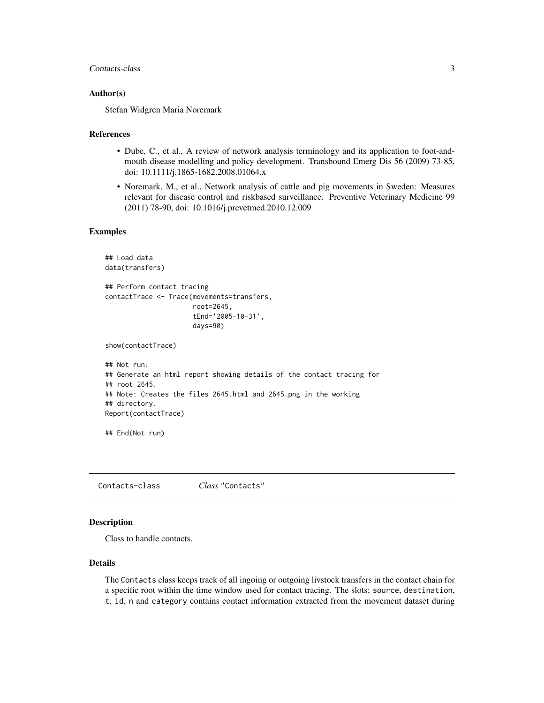#### <span id="page-2-0"></span>Contacts-class 3

#### Author(s)

Stefan Widgren Maria Noremark

#### References

- Dube, C., et al., A review of network analysis terminology and its application to foot-andmouth disease modelling and policy development. Transbound Emerg Dis 56 (2009) 73-85, doi: 10.1111/j.1865-1682.2008.01064.x
- Noremark, M., et al., Network analysis of cattle and pig movements in Sweden: Measures relevant for disease control and riskbased surveillance. Preventive Veterinary Medicine 99 (2011) 78-90, doi: 10.1016/j.prevetmed.2010.12.009

#### Examples

```
## Load data
data(transfers)
## Perform contact tracing
contactTrace <- Trace(movements=transfers,
                      root=2645,
                      tEnd='2005-10-31',
                      days=90)
show(contactTrace)
## Not run:
## Generate an html report showing details of the contact tracing for
## root 2645.
## Note: Creates the files 2645.html and 2645.png in the working
## directory.
Report(contactTrace)
## End(Not run)
```
<span id="page-2-1"></span>Contacts-class *Class* "Contacts"

#### Description

Class to handle contacts.

#### Details

The Contacts class keeps track of all ingoing or outgoing livstock transfers in the contact chain for a specific root within the time window used for contact tracing. The slots; source, destination, t, id, n and category contains contact information extracted from the movement dataset during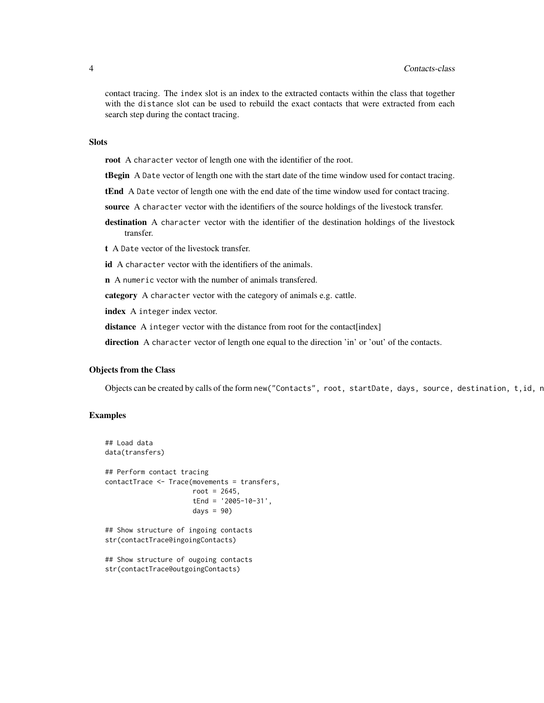contact tracing. The index slot is an index to the extracted contacts within the class that together with the distance slot can be used to rebuild the exact contacts that were extracted from each search step during the contact tracing.

#### Slots

root A character vector of length one with the identifier of the root.

**tBegin** A Date vector of length one with the start date of the time window used for contact tracing.

tEnd A Date vector of length one with the end date of the time window used for contact tracing.

source A character vector with the identifiers of the source holdings of the livestock transfer.

destination A character vector with the identifier of the destination holdings of the livestock transfer.

t A Date vector of the livestock transfer.

id A character vector with the identifiers of the animals.

n A numeric vector with the number of animals transfered.

category A character vector with the category of animals e.g. cattle.

index A integer index vector.

distance A integer vector with the distance from root for the contact [index]

direction A character vector of length one equal to the direction 'in' or 'out' of the contacts.

#### Objects from the Class

Objects can be created by calls of the form new("Contacts", root, startDate, days, source, destination,  $t$ , id, n

#### Examples

```
## Load data
data(transfers)
## Perform contact tracing
contactTrace <- Trace(movements = transfers,
                      root = 2645,
                      tEnd = '2005-10-31',
                      days = 90## Show structure of ingoing contacts
str(contactTrace@ingoingContacts)
## Show structure of ougoing contacts
```

```
str(contactTrace@outgoingContacts)
```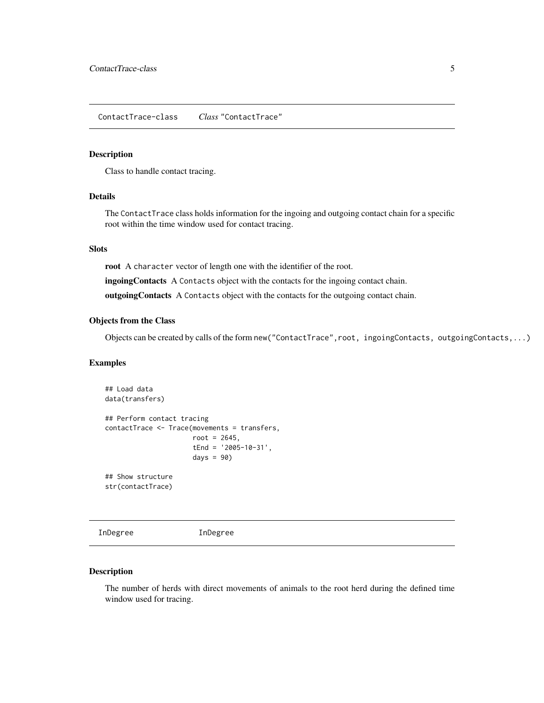#### <span id="page-4-2"></span><span id="page-4-0"></span>Description

Class to handle contact tracing.

# Details

The ContactTrace class holds information for the ingoing and outgoing contact chain for a specific root within the time window used for contact tracing.

# Slots

root A character vector of length one with the identifier of the root.

ingoingContacts A Contacts object with the contacts for the ingoing contact chain.

outgoingContacts A Contacts object with the contacts for the outgoing contact chain.

#### Objects from the Class

Objects can be created by calls of the form new("ContactTrace",root, ingoingContacts, outgoingContacts,...)

#### Examples

```
## Load data
data(transfers)
## Perform contact tracing
contactTrace <- Trace(movements = transfers,
                     root = 2645,
                      tEnd = '2005-10-31',
                      days = 90)
## Show structure
str(contactTrace)
```
<span id="page-4-1"></span>InDegree InDegree

#### Description

The number of herds with direct movements of animals to the root herd during the defined time window used for tracing.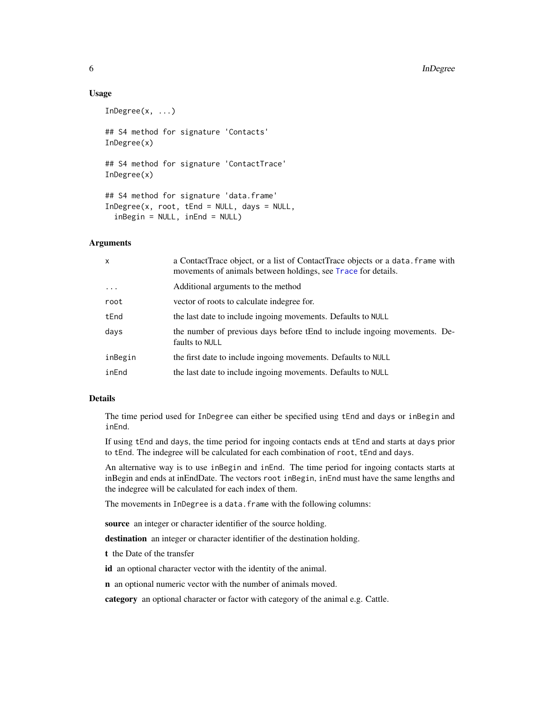#### Usage

```
InDegree(x, ...)
## S4 method for signature 'Contacts'
InDegree(x)
## S4 method for signature 'ContactTrace'
InDegree(x)
## S4 method for signature 'data.frame'
InDegree(x, root, tEnd = NULL, days = NULL,inBegin = NULL, inEnd = NULL)
```
### **Arguments**

| x          | a ContactTrace object, or a list of ContactTrace objects or a data. frame with<br>movements of animals between holdings, see Trace for details. |
|------------|-------------------------------------------------------------------------------------------------------------------------------------------------|
| $\ldots$ . | Additional arguments to the method                                                                                                              |
| root       | vector of roots to calculate indegree for.                                                                                                      |
| tEnd       | the last date to include ingoing movements. Defaults to NULL                                                                                    |
| days       | the number of previous days before tEnd to include ingoing movements. De-<br>faults to NULL                                                     |
| inBegin    | the first date to include ingoing movements. Defaults to NULL                                                                                   |
| inEnd      | the last date to include ingoing movements. Defaults to NULL                                                                                    |

# Details

The time period used for InDegree can either be specified using tEnd and days or inBegin and inEnd.

If using tEnd and days, the time period for ingoing contacts ends at tEnd and starts at days prior to tEnd. The indegree will be calculated for each combination of root, tEnd and days.

An alternative way is to use inBegin and inEnd. The time period for ingoing contacts starts at inBegin and ends at inEndDate. The vectors root inBegin, inEnd must have the same lengths and the indegree will be calculated for each index of them.

The movements in InDegree is a data.frame with the following columns:

source an integer or character identifier of the source holding.

destination an integer or character identifier of the destination holding.

t the Date of the transfer

id an optional character vector with the identity of the animal.

n an optional numeric vector with the number of animals moved.

category an optional character or factor with category of the animal e.g. Cattle.

<span id="page-5-0"></span>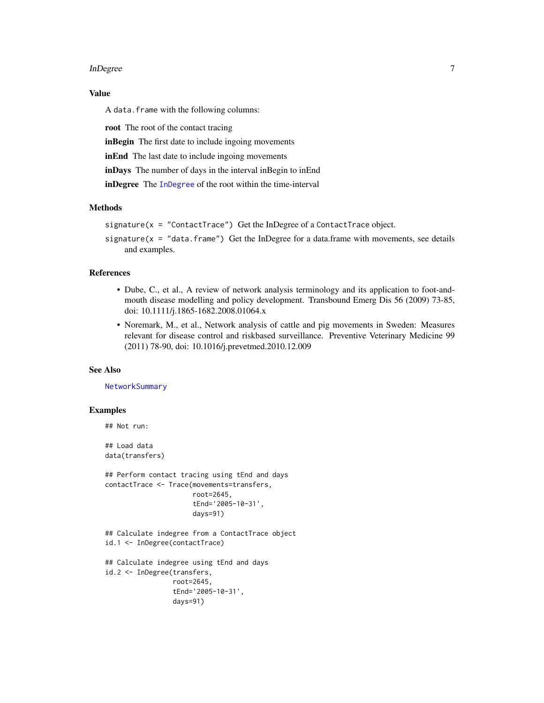#### <span id="page-6-0"></span>InDegree 7 and 10 and 10 and 10 and 10 and 10 and 10 and 10 and 10 and 10 and 10 and 10 and 10 and 10 and 10 and 10 and 10 and 10 and 10 and 10 and 10 and 10 and 10 and 10 and 10 and 10 and 10 and 10 and 10 and 10 and 10 a

# Value

A data.frame with the following columns:

root The root of the contact tracing

inBegin The first date to include ingoing movements

inEnd The last date to include ingoing movements

inDays The number of days in the interval inBegin to inEnd

inDegree The [InDegree](#page-4-1) of the root within the time-interval

#### Methods

```
signature(x = "ContactTrace") Get the InDegree of a ContactTrace object.
```
signature( $x =$  "data.frame") Get the InDegree for a data.frame with movements, see details and examples.

# References

- Dube, C., et al., A review of network analysis terminology and its application to foot-andmouth disease modelling and policy development. Transbound Emerg Dis 56 (2009) 73-85, doi: 10.1111/j.1865-1682.2008.01064.x
- Noremark, M., et al., Network analysis of cattle and pig movements in Sweden: Measures relevant for disease control and riskbased surveillance. Preventive Veterinary Medicine 99 (2011) 78-90, doi: 10.1016/j.prevetmed.2010.12.009

#### See Also

**[NetworkSummary](#page-11-1)** 

#### Examples

```
## Not run:
## Load data
```
data(transfers)

```
## Perform contact tracing using tEnd and days
contactTrace <- Trace(movements=transfers,
                      root=2645,
                      tEnd='2005-10-31',
                      days=91)
```

```
## Calculate indegree from a ContactTrace object
id.1 <- InDegree(contactTrace)
```

```
## Calculate indegree using tEnd and days
id.2 <- InDegree(transfers,
                root=2645,
                 tEnd='2005-10-31',
                 days=91)
```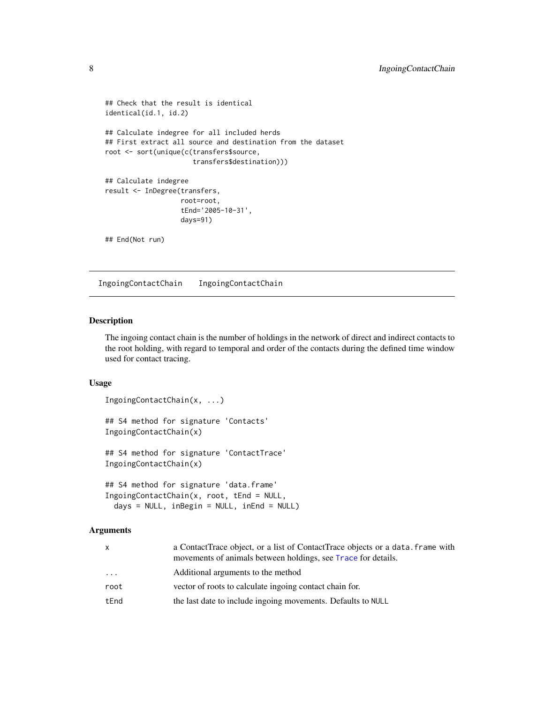```
## Check that the result is identical
identical(id.1, id.2)
## Calculate indegree for all included herds
## First extract all source and destination from the dataset
root <- sort(unique(c(transfers$source,
                      transfers$destination)))
## Calculate indegree
result <- InDegree(transfers,
                   root=root,
                   tEnd='2005-10-31',
                   days=91)
## End(Not run)
```
<span id="page-7-1"></span>IngoingContactChain IngoingContactChain

#### Description

The ingoing contact chain is the number of holdings in the network of direct and indirect contacts to the root holding, with regard to temporal and order of the contacts during the defined time window used for contact tracing.

# Usage

```
IngoingContactChain(x, ...)
## S4 method for signature 'Contacts'
IngoingContactChain(x)
## S4 method for signature 'ContactTrace'
IngoingContactChain(x)
## S4 method for signature 'data.frame'
```

```
IngoingContactChain(x, root, tEnd = NULL,
 days = NULL, inBegin = NULL, inEnd = NULL
```
#### Arguments

| X        | a ContactTrace object, or a list of ContactTrace objects or a data, frame with<br>movements of animals between holdings, see Trace for details. |
|----------|-------------------------------------------------------------------------------------------------------------------------------------------------|
| $\cdots$ | Additional arguments to the method                                                                                                              |
| root     | vector of roots to calculate ingoing contact chain for.                                                                                         |
| tEnd     | the last date to include ingoing movements. Defaults to NULL                                                                                    |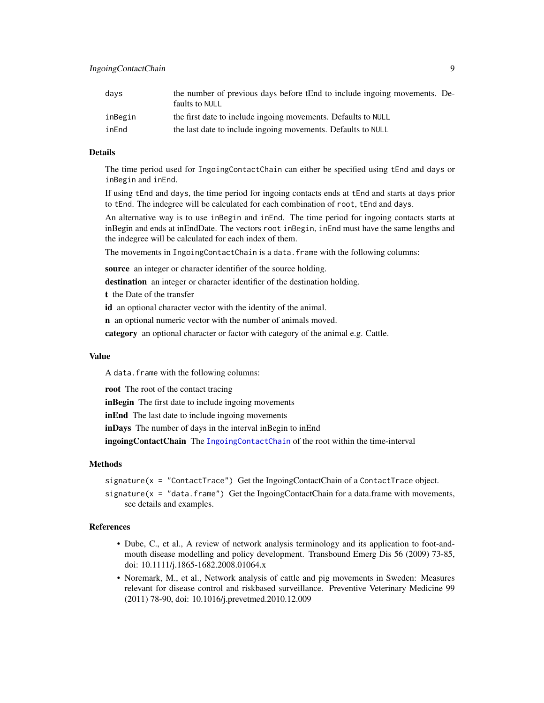<span id="page-8-0"></span>

| days    | the number of previous days before tEnd to include ingoing movements. De-<br>faults to NULL |
|---------|---------------------------------------------------------------------------------------------|
| inBegin | the first date to include ingoing movements. Defaults to NULL                               |
| inEnd   | the last date to include ingoing movements. Defaults to NULL                                |

#### Details

The time period used for IngoingContactChain can either be specified using tEnd and days or inBegin and inEnd.

If using tEnd and days, the time period for ingoing contacts ends at tEnd and starts at days prior to tEnd. The indegree will be calculated for each combination of root, tEnd and days.

An alternative way is to use inBegin and inEnd. The time period for ingoing contacts starts at inBegin and ends at inEndDate. The vectors root inBegin, inEnd must have the same lengths and the indegree will be calculated for each index of them.

The movements in IngoingContactChain is a data.frame with the following columns:

source an integer or character identifier of the source holding.

destination an integer or character identifier of the destination holding.

t the Date of the transfer

id an optional character vector with the identity of the animal.

n an optional numeric vector with the number of animals moved.

category an optional character or factor with category of the animal e.g. Cattle.

# Value

A data.frame with the following columns:

root The root of the contact tracing

inBegin The first date to include ingoing movements

inEnd The last date to include ingoing movements

inDays The number of days in the interval inBegin to inEnd

ingoingContactChain The [IngoingContactChain](#page-7-1) of the root within the time-interval

#### Methods

signature( $x =$  "ContactTrace") Get the IngoingContactChain of a ContactTrace object.

signature( $x = "data.f$ rame") Get the IngoingContactChain for a data.frame with movements, see details and examples.

#### References

- Dube, C., et al., A review of network analysis terminology and its application to foot-andmouth disease modelling and policy development. Transbound Emerg Dis 56 (2009) 73-85, doi: 10.1111/j.1865-1682.2008.01064.x
- Noremark, M., et al., Network analysis of cattle and pig movements in Sweden: Measures relevant for disease control and riskbased surveillance. Preventive Veterinary Medicine 99 (2011) 78-90, doi: 10.1016/j.prevetmed.2010.12.009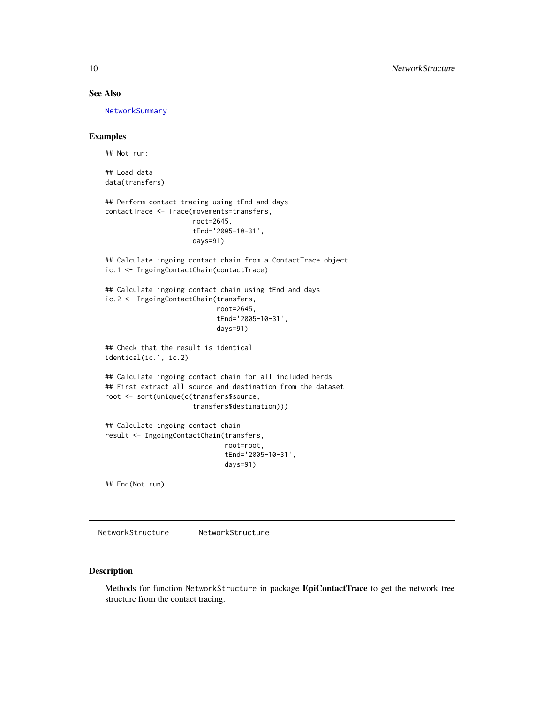# See Also

[NetworkSummary](#page-11-1)

# Examples

## Not run:

## Load data data(transfers)

## Perform contact tracing using tEnd and days contactTrace <- Trace(movements=transfers, root=2645, tEnd='2005-10-31',

days=91)

## Calculate ingoing contact chain from a ContactTrace object ic.1 <- IngoingContactChain(contactTrace)

## Calculate ingoing contact chain using tEnd and days ic.2 <- IngoingContactChain(transfers, root=2645,

tEnd='2005-10-31', days=91)

## Check that the result is identical identical(ic.1, ic.2)

## Calculate ingoing contact chain for all included herds ## First extract all source and destination from the dataset root <- sort(unique(c(transfers\$source, transfers\$destination)))

## Calculate ingoing contact chain result <- IngoingContactChain(transfers, root=root, tEnd='2005-10-31', days=91)

## End(Not run)

<span id="page-9-1"></span>NetworkStructure NetworkStructure

# Description

Methods for function NetworkStructure in package EpiContactTrace to get the network tree structure from the contact tracing.

<span id="page-9-0"></span>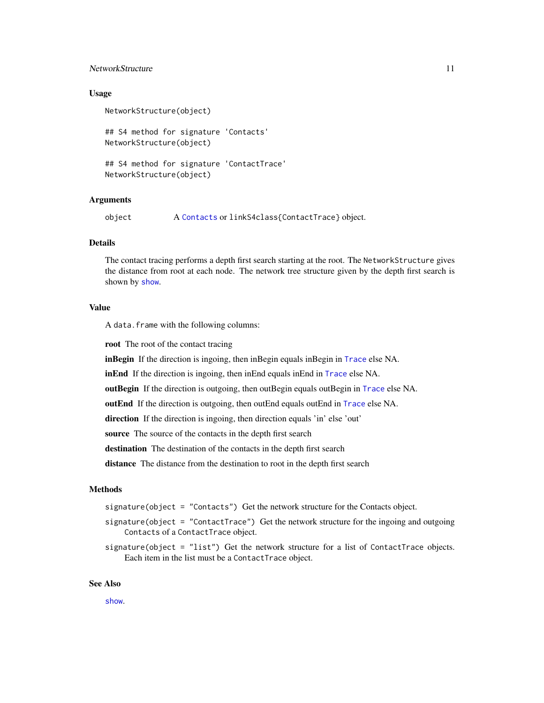# <span id="page-10-0"></span>NetworkStructure 11

#### Usage

NetworkStructure(object)

## S4 method for signature 'Contacts' NetworkStructure(object)

## S4 method for signature 'ContactTrace' NetworkStructure(object)

# Arguments

object A [Contacts](#page-2-1) or linkS4class{ContactTrace} object.

#### Details

The contact tracing performs a depth first search starting at the root. The NetworkStructure gives the distance from root at each node. The network tree structure given by the depth first search is shown by [show](#page-25-1).

# Value

A data.frame with the following columns:

root The root of the contact tracing

inBegin If the direction is ingoing, then inBegin equals inBegin in [Trace](#page-26-1) else NA.

inEnd If the direction is ingoing, then inEnd equals inEnd in [Trace](#page-26-1) else NA.

outBegin If the direction is outgoing, then outBegin equals outBegin in [Trace](#page-26-1) else NA.

outEnd If the direction is outgoing, then outEnd equals outEnd in [Trace](#page-26-1) else NA.

direction If the direction is ingoing, then direction equals 'in' else 'out'

source The source of the contacts in the depth first search

destination The destination of the contacts in the depth first search

distance The distance from the destination to root in the depth first search

# Methods

signature(object = "Contacts") Get the network structure for the Contacts object.

- signature(object = "ContactTrace") Get the network structure for the ingoing and outgoing Contacts of a ContactTrace object.
- signature(object =  $"list"$ ) Get the network structure for a list of ContactTrace objects. Each item in the list must be a ContactTrace object.

#### See Also

[show](#page-25-1).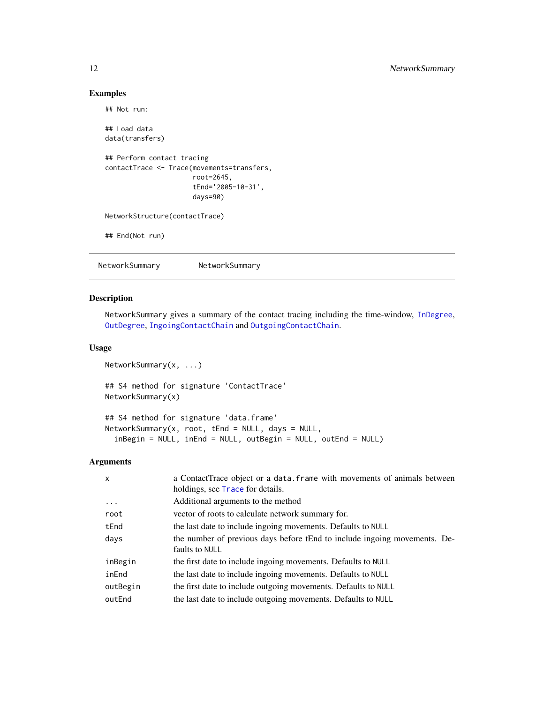# Examples

```
## Not run:
## Load data
data(transfers)
## Perform contact tracing
contactTrace <- Trace(movements=transfers,
                      root=2645,
                      tEnd='2005-10-31',
                      days=90)
NetworkStructure(contactTrace)
## End(Not run)
```
<span id="page-11-1"></span>NetworkSummary NetworkSummary

# Description

NetworkSummary gives a summary of the contact tracing including the time-window, [InDegree](#page-4-1), [OutDegree](#page-14-1), [IngoingContactChain](#page-7-1) and [OutgoingContactChain](#page-17-1).

# Usage

```
NetworkSummary(x, ...)
## S4 method for signature 'ContactTrace'
NetworkSummary(x)
## S4 method for signature 'data.frame'
NetworkSummary(x, root, tEnd = NULL, days = NULL,
  inBegin = NULL, inEnd = NULL, outBegin = NULL, outEnd = NULL)
```
#### Arguments

| $\mathsf{x}$ | a ContactTrace object or a data. frame with movements of animals between<br>holdings, see Trace for details. |
|--------------|--------------------------------------------------------------------------------------------------------------|
| $\ddots$     | Additional arguments to the method                                                                           |
| root         | vector of roots to calculate network summary for.                                                            |
| tEnd         | the last date to include ingoing movements. Defaults to NULL                                                 |
| days         | the number of previous days before tEnd to include ingoing movements. De-<br>faults to NULL                  |
| inBegin      | the first date to include ingoing movements. Defaults to NULL                                                |
| inEnd        | the last date to include ingoing movements. Defaults to NULL                                                 |
| outBegin     | the first date to include outgoing movements. Defaults to NULL                                               |
| outEnd       | the last date to include outgoing movements. Defaults to NULL                                                |

<span id="page-11-0"></span>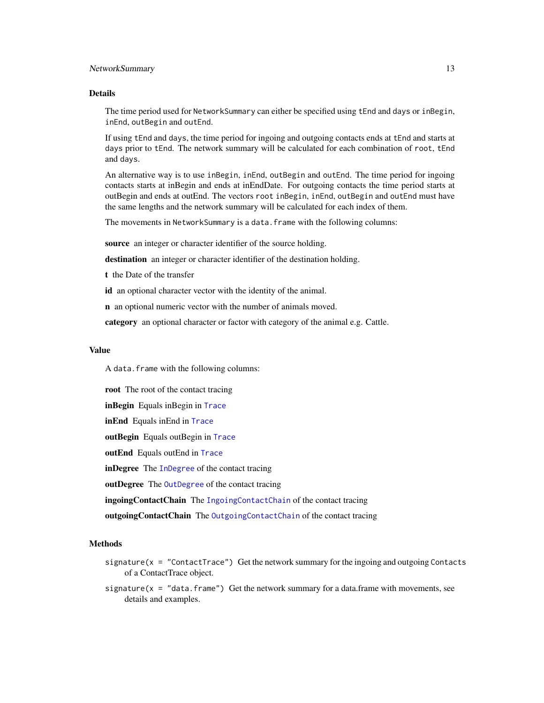# <span id="page-12-0"></span>NetworkSummary 13

#### Details

The time period used for NetworkSummary can either be specified using tEnd and days or inBegin, inEnd, outBegin and outEnd.

If using tEnd and days, the time period for ingoing and outgoing contacts ends at tEnd and starts at days prior to tEnd. The network summary will be calculated for each combination of root, tEnd and days.

An alternative way is to use inBegin, inEnd, outBegin and outEnd. The time period for ingoing contacts starts at inBegin and ends at inEndDate. For outgoing contacts the time period starts at outBegin and ends at outEnd. The vectors root inBegin, inEnd, outBegin and outEnd must have the same lengths and the network summary will be calculated for each index of them.

The movements in NetworkSummary is a data.frame with the following columns:

source an integer or character identifier of the source holding.

destination an integer or character identifier of the destination holding.

t the Date of the transfer

id an optional character vector with the identity of the animal.

n an optional numeric vector with the number of animals moved.

category an optional character or factor with category of the animal e.g. Cattle.

#### Value

A data.frame with the following columns:

root The root of the contact tracing inBegin Equals inBegin in [Trace](#page-26-1) inEnd Equals inEnd in [Trace](#page-26-1) outBegin Equals outBegin in [Trace](#page-26-1) outEnd Equals outEnd in [Trace](#page-26-1) inDegree The [InDegree](#page-4-1) of the contact tracing outDegree The [OutDegree](#page-14-1) of the contact tracing ingoingContactChain The [IngoingContactChain](#page-7-1) of the contact tracing outgoing Contact Chain The Outgoing Contact Chain of the contact tracing

#### Methods

- signature( $x =$  "ContactTrace") Get the network summary for the ingoing and outgoing Contacts of a ContactTrace object.
- signature( $x = "data, frame")$  Get the network summary for a data.frame with movements, see details and examples.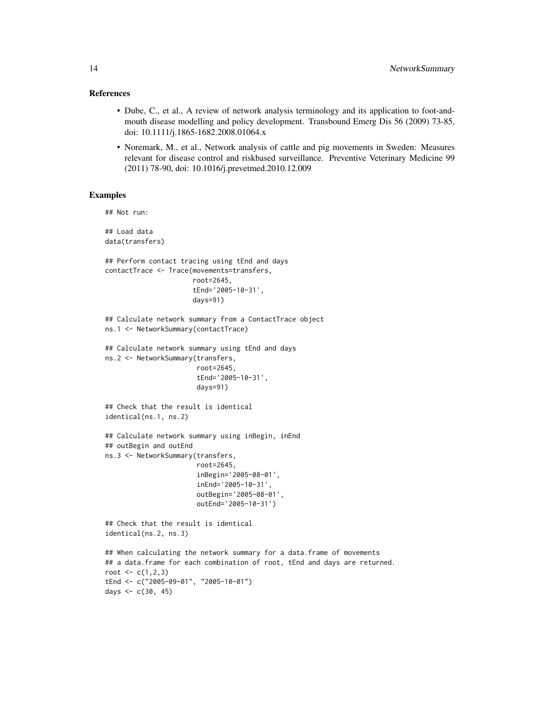#### References

- Dube, C., et al., A review of network analysis terminology and its application to foot-andmouth disease modelling and policy development. Transbound Emerg Dis 56 (2009) 73-85, doi: 10.1111/j.1865-1682.2008.01064.x
- Noremark, M., et al., Network analysis of cattle and pig movements in Sweden: Measures relevant for disease control and riskbased surveillance. Preventive Veterinary Medicine 99 (2011) 78-90, doi: 10.1016/j.prevetmed.2010.12.009

# Examples

```
## Not run:
## Load data
data(transfers)
## Perform contact tracing using tEnd and days
contactTrace <- Trace(movements=transfers,
                      root=2645,
                      tEnd='2005-10-31',
                      days=91)
## Calculate network summary from a ContactTrace object
ns.1 <- NetworkSummary(contactTrace)
## Calculate network summary using tEnd and days
ns.2 <- NetworkSummary(transfers,
                       root=2645,
                       tEnd='2005-10-31',
                       days=91)
## Check that the result is identical
identical(ns.1, ns.2)
## Calculate network summary using inBegin, inEnd
## outBegin and outEnd
ns.3 <- NetworkSummary(transfers,
                       root=2645,
                       inBegin='2005-08-01',
                       inEnd='2005-10-31',
                       outBegin='2005-08-01',
                       outEnd='2005-10-31')
## Check that the result is identical
identical(ns.2, ns.3)
## When calculating the network summary for a data.frame of movements
## a data.frame for each combination of root, tEnd and days are returned.
root \leq c(1, 2, 3)tEnd <- c("2005-09-01", "2005-10-01")
days <-c(30, 45)
```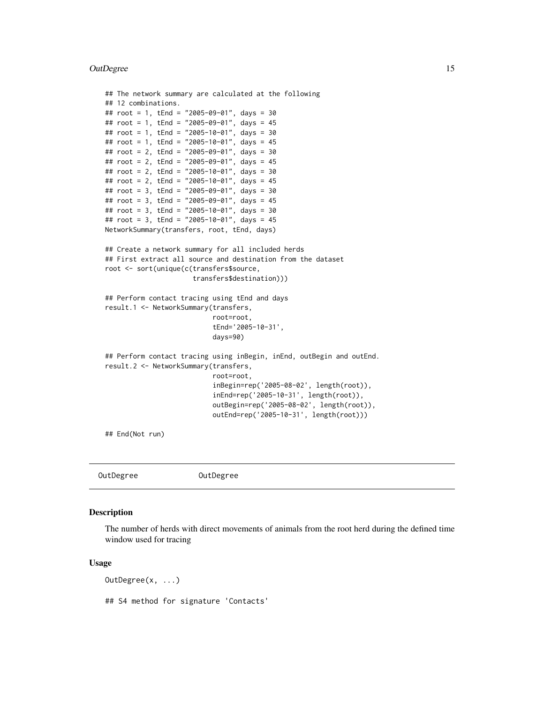#### <span id="page-14-0"></span>OutDegree 25 and 25 and 26 and 26 and 26 and 26 and 26 and 26 and 26 and 26 and 26 and 26 and 26 and 26 and 26

```
## The network summary are calculated at the following
## 12 combinations.
## root = 1, tEnd = "2005-09-01", days = 30
## root = 1, tEnd = "2005-09-01", days = 45
## root = 1, tEnd = "2005-10-01", days = 30
## root = 1, tEnd = "2005-10-01", days = 45
## root = 2, tEnd = "2005-09-01", days = 30
## root = 2, tEnd = "2005-09-01", days = 45
## root = 2, tEnd = "2005-10-01", days = 30
## root = 2, tEnd = "2005-10-01", days = 45
## root = 3, tEnd = "2005-09-01", days = 30
## root = 3, tEnd = "2005-09-01", days = 45
## root = 3, tEnd = "2005-10-01", days = 30
## root = 3, tEnd = "2005-10-01", days = 45
NetworkSummary(transfers, root, tEnd, days)
## Create a network summary for all included herds
## First extract all source and destination from the dataset
root <- sort(unique(c(transfers$source,
                      transfers$destination)))
## Perform contact tracing using tEnd and days
result.1 <- NetworkSummary(transfers,
                           root=root,
                           tEnd='2005-10-31',
                           days=90)
## Perform contact tracing using inBegin, inEnd, outBegin and outEnd.
result.2 <- NetworkSummary(transfers,
                           root=root,
                           inBegin=rep('2005-08-02', length(root)),
                           inEnd=rep('2005-10-31', length(root)),
                           outBegin=rep('2005-08-02', length(root)),
                           outEnd=rep('2005-10-31', length(root)))
```
## End(Not run)

OutDegree OutDegree

# Description

The number of herds with direct movements of animals from the root herd during the defined time window used for tracing

#### Usage

OutDegree(x, ...) ## S4 method for signature 'Contacts'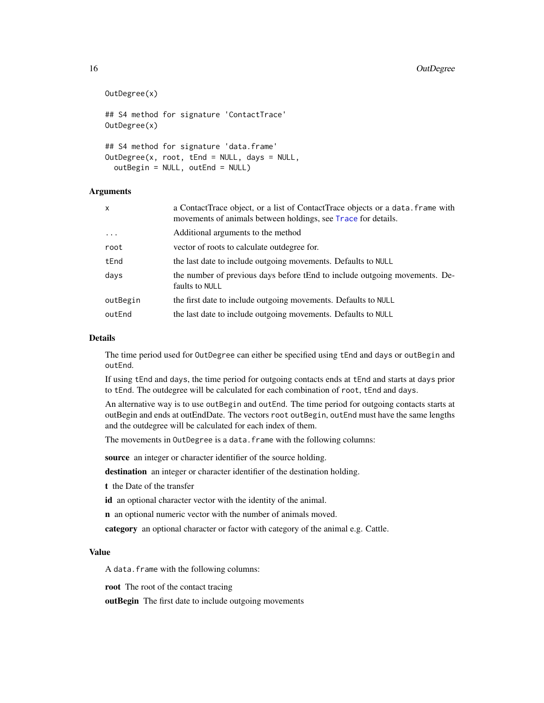```
OutDegree(x)
## S4 method for signature 'ContactTrace'
OutDegree(x)
## S4 method for signature 'data.frame'
OutDegree(x, root, tEnd = NULL, days = NULL,
  outBegin = NULL, outEnd = NULL)
```
# Arguments

| x        | a ContactTrace object, or a list of ContactTrace objects or a data. frame with<br>movements of animals between holdings, see Trace for details. |
|----------|-------------------------------------------------------------------------------------------------------------------------------------------------|
| $\cdots$ | Additional arguments to the method                                                                                                              |
| root     | vector of roots to calculate outdegree for.                                                                                                     |
| tEnd     | the last date to include outgoing movements. Defaults to NULL                                                                                   |
| days     | the number of previous days before tEnd to include outgoing movements. De-<br>faults to NULL                                                    |
| outBegin | the first date to include outgoing movements. Defaults to NULL                                                                                  |
| outEnd   | the last date to include outgoing movements. Defaults to NULL                                                                                   |
|          |                                                                                                                                                 |

#### Details

The time period used for OutDegree can either be specified using tEnd and days or outBegin and outEnd.

If using tEnd and days, the time period for outgoing contacts ends at tEnd and starts at days prior to tEnd. The outdegree will be calculated for each combination of root, tEnd and days.

An alternative way is to use outBegin and outEnd. The time period for outgoing contacts starts at outBegin and ends at outEndDate. The vectors root outBegin, outEnd must have the same lengths and the outdegree will be calculated for each index of them.

The movements in OutDegree is a data.frame with the following columns:

source an integer or character identifier of the source holding.

destination an integer or character identifier of the destination holding.

t the Date of the transfer

id an optional character vector with the identity of the animal.

n an optional numeric vector with the number of animals moved.

category an optional character or factor with category of the animal e.g. Cattle.

# Value

A data.frame with the following columns:

root The root of the contact tracing

outBegin The first date to include outgoing movements

<span id="page-15-0"></span>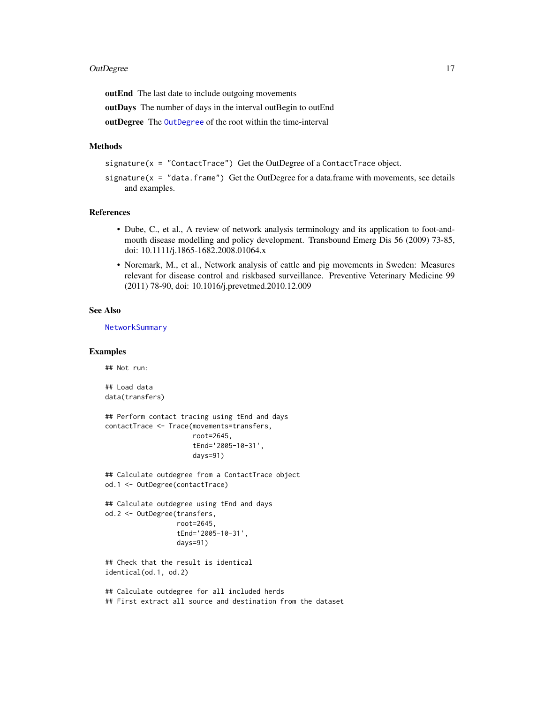#### <span id="page-16-0"></span>OutDegree 2012 17

outEnd The last date to include outgoing movements

outDays The number of days in the interval outBegin to outEnd

outDegree The [OutDegree](#page-14-1) of the root within the time-interval

# Methods

signature( $x =$  "ContactTrace") Get the OutDegree of a ContactTrace object.

signature( $x =$  "data.frame") Get the OutDegree for a data.frame with movements, see details and examples.

#### References

- Dube, C., et al., A review of network analysis terminology and its application to foot-andmouth disease modelling and policy development. Transbound Emerg Dis 56 (2009) 73-85, doi: 10.1111/j.1865-1682.2008.01064.x
- Noremark, M., et al., Network analysis of cattle and pig movements in Sweden: Measures relevant for disease control and riskbased surveillance. Preventive Veterinary Medicine 99 (2011) 78-90, doi: 10.1016/j.prevetmed.2010.12.009

#### See Also

[NetworkSummary](#page-11-1)

#### Examples

## Not run:

## Load data data(transfers)

```
## Perform contact tracing using tEnd and days
contactTrace <- Trace(movements=transfers,
                      root=2645,
                      tEnd='2005-10-31',
```

```
days=91)
```
## Calculate outdegree from a ContactTrace object od.1 <- OutDegree(contactTrace)

```
## Calculate outdegree using tEnd and days
od.2 <- OutDegree(transfers,
                 root=2645,
                  tEnd='2005-10-31',
                  days=91)
```

```
## Check that the result is identical
identical(od.1, od.2)
```
## Calculate outdegree for all included herds ## First extract all source and destination from the dataset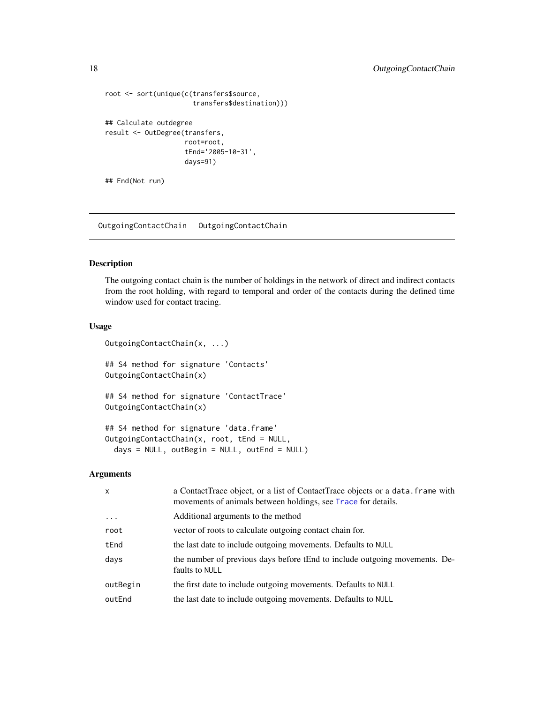```
root <- sort(unique(c(transfers$source,
                      transfers$destination)))
## Calculate outdegree
result <- OutDegree(transfers,
                    root=root,
                    tEnd='2005-10-31',
                    days=91)
## End(Not run)
```
<span id="page-17-1"></span>OutgoingContactChain OutgoingContactChain

# Description

The outgoing contact chain is the number of holdings in the network of direct and indirect contacts from the root holding, with regard to temporal and order of the contacts during the defined time window used for contact tracing.

# Usage

```
OutgoingContactChain(x, ...)
## S4 method for signature 'Contacts'
OutgoingContactChain(x)
## S4 method for signature 'ContactTrace'
OutgoingContactChain(x)
## S4 method for signature 'data.frame'
OutgoingContactChain(x, root, tEnd = NULL,
  days = NULL, outBegin = NULL, outEnd = NULL)
```
# Arguments

| x        | a ContactTrace object, or a list of ContactTrace objects or a data. frame with<br>movements of animals between holdings, see Trace for details. |
|----------|-------------------------------------------------------------------------------------------------------------------------------------------------|
| $\ddots$ | Additional arguments to the method                                                                                                              |
| root     | vector of roots to calculate outgoing contact chain for.                                                                                        |
| tEnd     | the last date to include outgoing movements. Defaults to NULL                                                                                   |
| days     | the number of previous days before tEnd to include outgoing movements. De-<br>faults to NULL                                                    |
| outBegin | the first date to include outgoing movements. Defaults to NULL                                                                                  |
| outEnd   | the last date to include outgoing movements. Defaults to NULL                                                                                   |

<span id="page-17-0"></span>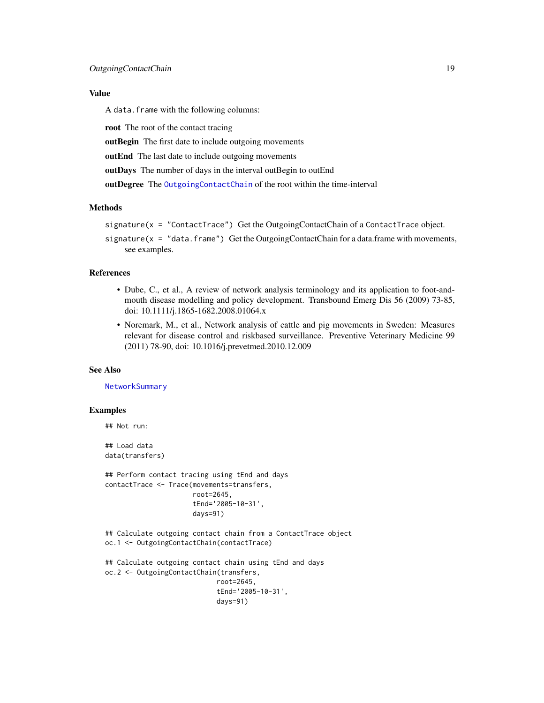#### <span id="page-18-0"></span>Value

A data.frame with the following columns:

root The root of the contact tracing

outBegin The first date to include outgoing movements

outEnd The last date to include outgoing movements

outDays The number of days in the interval outBegin to outEnd

outDegree The [OutgoingContactChain](#page-17-1) of the root within the time-interval

#### Methods

```
signature(x = "ContactTrace") Get the OutgoingContactChain of a ContactTrace object.
```
signature( $x = "data.f$ rame") Get the OutgoingContactChain for a data.frame with movements, see examples.

# References

- Dube, C., et al., A review of network analysis terminology and its application to foot-andmouth disease modelling and policy development. Transbound Emerg Dis 56 (2009) 73-85, doi: 10.1111/j.1865-1682.2008.01064.x
- Noremark, M., et al., Network analysis of cattle and pig movements in Sweden: Measures relevant for disease control and riskbased surveillance. Preventive Veterinary Medicine 99 (2011) 78-90, doi: 10.1016/j.prevetmed.2010.12.009

#### See Also

**[NetworkSummary](#page-11-1)** 

#### Examples

```
## Not run:
## Load data
data(transfers)
```
## Perform contact tracing using tEnd and days contactTrace <- Trace(movements=transfers, root=2645, tEnd='2005-10-31', days=91)

## Calculate outgoing contact chain from a ContactTrace object oc.1 <- OutgoingContactChain(contactTrace)

```
## Calculate outgoing contact chain using tEnd and days
oc.2 <- OutgoingContactChain(transfers,
                            root=2645,
                            tEnd='2005-10-31',
                            days=91)
```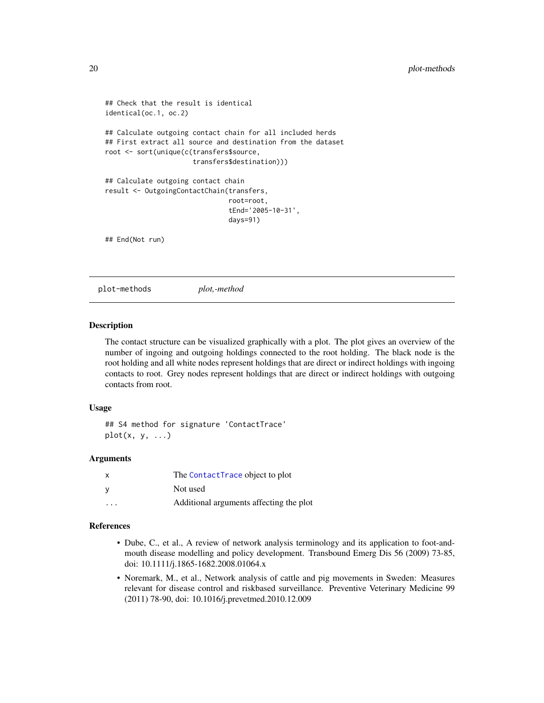```
## Check that the result is identical
identical(oc.1, oc.2)
## Calculate outgoing contact chain for all included herds
## First extract all source and destination from the dataset
root <- sort(unique(c(transfers$source,
                      transfers$destination)))
## Calculate outgoing contact chain
result <- OutgoingContactChain(transfers,
                               root=root,
                               tEnd='2005-10-31',
                               days=91)
## End(Not run)
```
plot-methods *plot,-method*

#### Description

The contact structure can be visualized graphically with a plot. The plot gives an overview of the number of ingoing and outgoing holdings connected to the root holding. The black node is the root holding and all white nodes represent holdings that are direct or indirect holdings with ingoing contacts to root. Grey nodes represent holdings that are direct or indirect holdings with outgoing contacts from root.

#### Usage

```
## S4 method for signature 'ContactTrace'
plot(x, y, \ldots)
```
#### Arguments

| X.      | The ContactTrace object to plot         |
|---------|-----------------------------------------|
|         | Not used                                |
| $\cdot$ | Additional arguments affecting the plot |

#### References

- Dube, C., et al., A review of network analysis terminology and its application to foot-andmouth disease modelling and policy development. Transbound Emerg Dis 56 (2009) 73-85, doi: 10.1111/j.1865-1682.2008.01064.x
- Noremark, M., et al., Network analysis of cattle and pig movements in Sweden: Measures relevant for disease control and riskbased surveillance. Preventive Veterinary Medicine 99 (2011) 78-90, doi: 10.1016/j.prevetmed.2010.12.009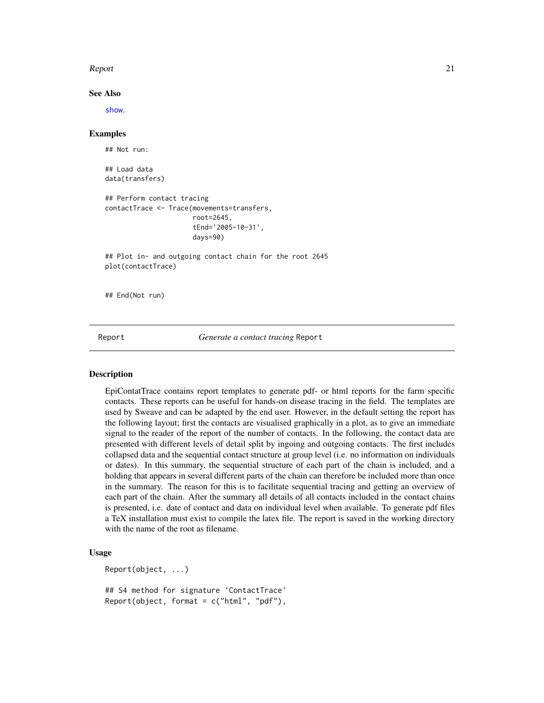#### <span id="page-20-0"></span>Report 21

#### See Also

[show](#page-25-1).

# Examples

```
## Not run:
## Load data
data(transfers)
## Perform contact tracing
contactTrace <- Trace(movements=transfers,
                      root=2645,
                      tEnd='2005-10-31',
                      days=90)
## Plot in- and outgoing contact chain for the root 2645
plot(contactTrace)
## End(Not run)
```
Report *Generate a contact tracing* Report

### Description

EpiContatTrace contains report templates to generate pdf- or html reports for the farm specific contacts. These reports can be useful for hands-on disease tracing in the field. The templates are used by Sweave and can be adapted by the end user. However, in the default setting the report has the following layout; first the contacts are visualised graphically in a plot, as to give an immediate signal to the reader of the report of the number of contacts. In the following, the contact data are presented with different levels of detail split by ingoing and outgoing contacts. The first includes collapsed data and the sequential contact structure at group level (i.e. no information on individuals or dates). In this summary, the sequential structure of each part of the chain is included, and a holding that appears in several different parts of the chain can therefore be included more than once in the summary. The reason for this is to facilitate sequential tracing and getting an overview of each part of the chain. After the summary all details of all contacts included in the contact chains is presented, i.e. date of contact and data on individual level when available. To generate pdf files a TeX installation must exist to compile the latex file. The report is saved in the working directory with the name of the root as filename.

#### Usage

Report(object, ...)

## S4 method for signature 'ContactTrace'  $Report(object, format = c("html", "pdf"),$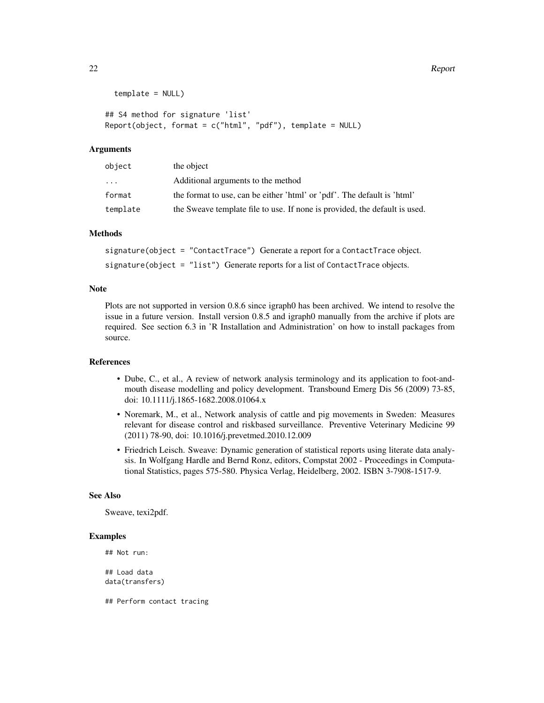```
template = NULL)
```
## S4 method for signature 'list' Report(object, format =  $c("html", "pdf")$ , template = NULL)

#### Arguments

| object    | the object                                                                 |
|-----------|----------------------------------------------------------------------------|
| $\ddotsc$ | Additional arguments to the method                                         |
| format    | the format to use, can be either 'html' or 'pdf'. The default is 'html'    |
| template  | the Sweave template file to use. If none is provided, the default is used. |

# Methods

signature(object = "ContactTrace") Generate a report for a ContactTrace object. signature(object = "list") Generate reports for a list of ContactTrace objects.

# Note

Plots are not supported in version 0.8.6 since igraph0 has been archived. We intend to resolve the issue in a future version. Install version 0.8.5 and igraph0 manually from the archive if plots are required. See section 6.3 in 'R Installation and Administration' on how to install packages from source.

# References

- Dube, C., et al., A review of network analysis terminology and its application to foot-andmouth disease modelling and policy development. Transbound Emerg Dis 56 (2009) 73-85, doi: 10.1111/j.1865-1682.2008.01064.x
- Noremark, M., et al., Network analysis of cattle and pig movements in Sweden: Measures relevant for disease control and riskbased surveillance. Preventive Veterinary Medicine 99 (2011) 78-90, doi: 10.1016/j.prevetmed.2010.12.009
- Friedrich Leisch. Sweave: Dynamic generation of statistical reports using literate data analysis. In Wolfgang Hardle and Bernd Ronz, editors, Compstat 2002 - Proceedings in Computational Statistics, pages 575-580. Physica Verlag, Heidelberg, 2002. ISBN 3-7908-1517-9.

# See Also

Sweave, texi2pdf.

#### Examples

```
## Not run:
## Load data
data(transfers)
```
## Perform contact tracing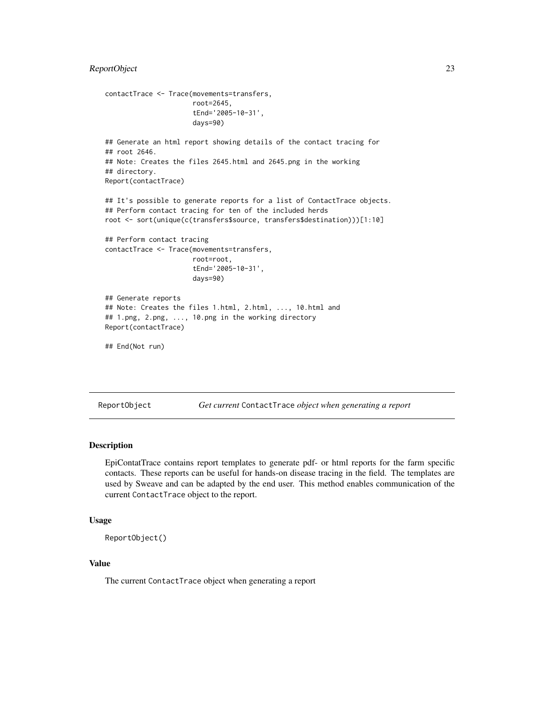# <span id="page-22-0"></span>ReportObject 23

```
contactTrace <- Trace(movements=transfers,
                      root=2645,
                      tEnd='2005-10-31',
                      days=90)
## Generate an html report showing details of the contact tracing for
## root 2646.
## Note: Creates the files 2645.html and 2645.png in the working
## directory.
Report(contactTrace)
## It's possible to generate reports for a list of ContactTrace objects.
## Perform contact tracing for ten of the included herds
root <- sort(unique(c(transfers$source, transfers$destination)))[1:10]
## Perform contact tracing
contactTrace <- Trace(movements=transfers,
                      root=root,
                      tEnd='2005-10-31',
                      days=90)
## Generate reports
## Note: Creates the files 1.html, 2.html, ..., 10.html and
## 1.png, 2.png, ..., 10.png in the working directory
Report(contactTrace)
## End(Not run)
```
ReportObject *Get current* ContactTrace *object when generating a report*

#### **Description**

EpiContatTrace contains report templates to generate pdf- or html reports for the farm specific contacts. These reports can be useful for hands-on disease tracing in the field. The templates are used by Sweave and can be adapted by the end user. This method enables communication of the current ContactTrace object to the report.

#### Usage

```
ReportObject()
```
# Value

The current ContactTrace object when generating a report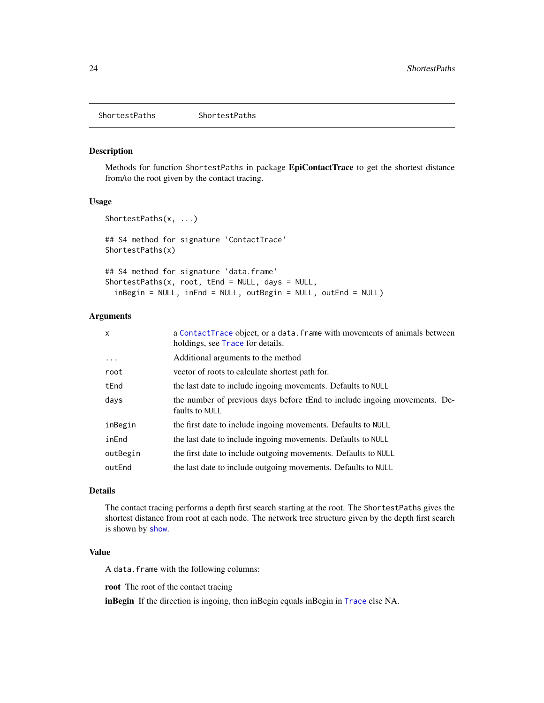<span id="page-23-0"></span>ShortestPaths ShortestPaths

# Description

Methods for function ShortestPaths in package EpiContactTrace to get the shortest distance from/to the root given by the contact tracing.

#### Usage

```
ShortestPaths(x, ...)
## S4 method for signature 'ContactTrace'
ShortestPaths(x)
## S4 method for signature 'data.frame'
ShortestPaths(x, root, tEnd = NULL, days = NULL,
  inBegin = NULL, inEnd = NULL, outBegin = NULL, outEnd = NULL)
```
#### Arguments

| $\mathsf{x}$ | a Contact Trace object, or a data. frame with movements of animals between<br>holdings, see Trace for details. |
|--------------|----------------------------------------------------------------------------------------------------------------|
| $\ddots$     | Additional arguments to the method                                                                             |
| root         | vector of roots to calculate shortest path for.                                                                |
| tEnd         | the last date to include ingoing movements. Defaults to NULL                                                   |
| days         | the number of previous days before tEnd to include ingoing movements. De-<br>faults to NULL                    |
| inBegin      | the first date to include ingoing movements. Defaults to NULL                                                  |
| inEnd        | the last date to include ingoing movements. Defaults to NULL                                                   |
| outBegin     | the first date to include outgoing movements. Defaults to NULL                                                 |
| outEnd       | the last date to include outgoing movements. Defaults to NULL                                                  |

#### Details

The contact tracing performs a depth first search starting at the root. The ShortestPaths gives the shortest distance from root at each node. The network tree structure given by the depth first search is shown by [show](#page-25-1).

# Value

A data.frame with the following columns:

root The root of the contact tracing

inBegin If the direction is ingoing, then inBegin equals inBegin in [Trace](#page-26-1) else NA.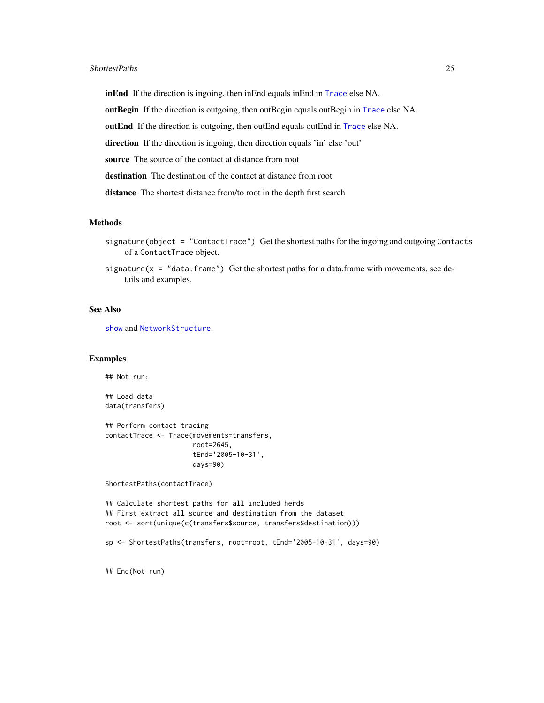#### <span id="page-24-0"></span>ShortestPaths 25

inEnd If the direction is ingoing, then inEnd equals inEnd in [Trace](#page-26-1) else NA.

outBegin If the direction is outgoing, then outBegin equals outBegin in [Trace](#page-26-1) else NA.

outEnd If the direction is outgoing, then outEnd equals outEnd in [Trace](#page-26-1) else NA.

direction If the direction is ingoing, then direction equals 'in' else 'out'

source The source of the contact at distance from root

destination The destination of the contact at distance from root

distance The shortest distance from/to root in the depth first search

#### Methods

signature(object = "ContactTrace") Get the shortest paths for the ingoing and outgoing Contacts of a ContactTrace object.

signature( $x = "data.f$ rame") Get the shortest paths for a data.frame with movements, see details and examples.

#### See Also

[show](#page-25-1) and [NetworkStructure](#page-9-1).

#### Examples

## Not run:

## Load data data(transfers)

## Perform contact tracing contactTrace <- Trace(movements=transfers, root=2645, tEnd='2005-10-31', days=90)

ShortestPaths(contactTrace)

## Calculate shortest paths for all included herds ## First extract all source and destination from the dataset root <- sort(unique(c(transfers\$source, transfers\$destination)))

sp <- ShortestPaths(transfers, root=root, tEnd='2005-10-31', days=90)

## End(Not run)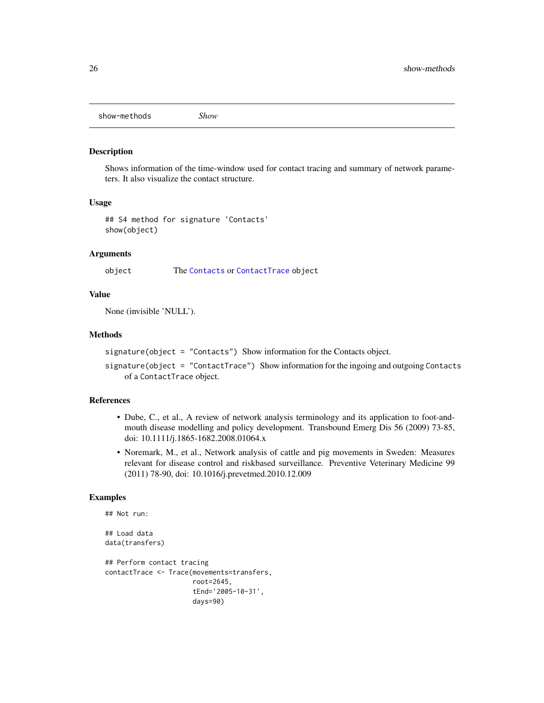<span id="page-25-0"></span>show-methods *Show*

#### <span id="page-25-1"></span>Description

Shows information of the time-window used for contact tracing and summary of network parameters. It also visualize the contact structure.

#### Usage

## S4 method for signature 'Contacts' show(object)

#### Arguments

object The [Contacts](#page-2-1) or [ContactTrace](#page-4-2) object

#### Value

None (invisible 'NULL').

#### Methods

signature(object = "Contacts") Show information for the Contacts object.

signature(object = "ContactTrace") Show information for the ingoing and outgoing Contacts of a ContactTrace object.

# References

- Dube, C., et al., A review of network analysis terminology and its application to foot-andmouth disease modelling and policy development. Transbound Emerg Dis 56 (2009) 73-85, doi: 10.1111/j.1865-1682.2008.01064.x
- Noremark, M., et al., Network analysis of cattle and pig movements in Sweden: Measures relevant for disease control and riskbased surveillance. Preventive Veterinary Medicine 99 (2011) 78-90, doi: 10.1016/j.prevetmed.2010.12.009

#### Examples

```
## Not run:
## Load data
data(transfers)
## Perform contact tracing
contactTrace <- Trace(movements=transfers,
                      root=2645,
                      tEnd='2005-10-31',
                      days=90)
```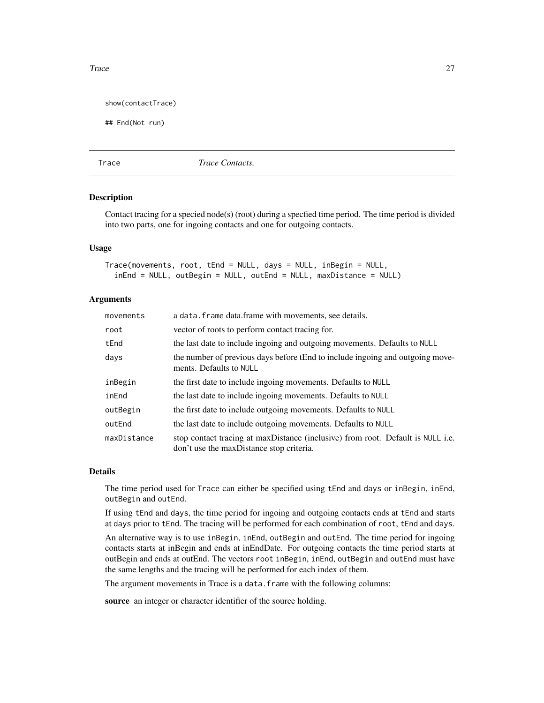#### <span id="page-26-0"></span>Trace 27

show(contactTrace)

## End(Not run)

<span id="page-26-1"></span>

Trace *Trace Contacts.*

#### Description

Contact tracing for a specied node(s) (root) during a specfied time period. The time period is divided into two parts, one for ingoing contacts and one for outgoing contacts.

#### Usage

Trace(movements, root, tEnd = NULL, days = NULL, inBegin = NULL, inEnd = NULL, outBegin = NULL, outEnd = NULL, maxDistance = NULL)

#### **Arguments**

| movements   | a data. frame data. frame with movements, see details.                                                                      |
|-------------|-----------------------------------------------------------------------------------------------------------------------------|
| root        | vector of roots to perform contact tracing for.                                                                             |
| tEnd        | the last date to include ingoing and outgoing movements. Defaults to NULL                                                   |
| days        | the number of previous days before tEnd to include ingoing and outgoing move-<br>ments. Defaults to NULL                    |
| inBegin     | the first date to include ingoing movements. Defaults to NULL                                                               |
| inEnd       | the last date to include ingoing movements. Defaults to NULL                                                                |
| outBegin    | the first date to include outgoing movements. Defaults to NULL                                                              |
| outEnd      | the last date to include outgoing movements. Defaults to NULL                                                               |
| maxDistance | stop contact tracing at maxDistance (inclusive) from root. Default is NULL i.e.<br>don't use the maxDistance stop criteria. |

#### Details

The time period used for Trace can either be specified using tEnd and days or inBegin, inEnd, outBegin and outEnd.

If using tEnd and days, the time period for ingoing and outgoing contacts ends at tEnd and starts at days prior to tEnd. The tracing will be performed for each combination of root, tEnd and days.

An alternative way is to use inBegin, inEnd, outBegin and outEnd. The time period for ingoing contacts starts at inBegin and ends at inEndDate. For outgoing contacts the time period starts at outBegin and ends at outEnd. The vectors root inBegin, inEnd, outBegin and outEnd must have the same lengths and the tracing will be performed for each index of them.

The argument movements in Trace is a data. frame with the following columns:

source an integer or character identifier of the source holding.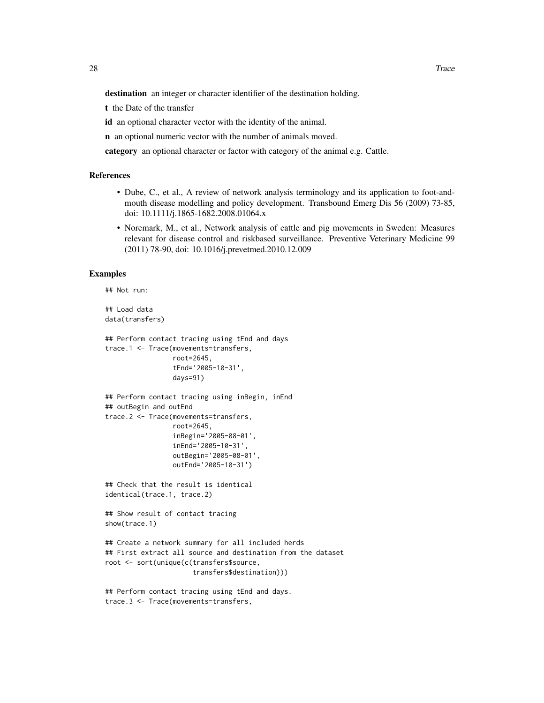destination an integer or character identifier of the destination holding.

t the Date of the transfer

id an optional character vector with the identity of the animal.

n an optional numeric vector with the number of animals moved.

category an optional character or factor with category of the animal e.g. Cattle.

#### References

- Dube, C., et al., A review of network analysis terminology and its application to foot-andmouth disease modelling and policy development. Transbound Emerg Dis 56 (2009) 73-85, doi: 10.1111/j.1865-1682.2008.01064.x
- Noremark, M., et al., Network analysis of cattle and pig movements in Sweden: Measures relevant for disease control and riskbased surveillance. Preventive Veterinary Medicine 99 (2011) 78-90, doi: 10.1016/j.prevetmed.2010.12.009

#### Examples

```
## Not run:
## Load data
```

```
data(transfers)
```

```
## Perform contact tracing using tEnd and days
trace.1 <- Trace(movements=transfers,
                 root=2645,
                 tEnd='2005-10-31',
                 days=91)
```

```
## Perform contact tracing using inBegin, inEnd
## outBegin and outEnd
trace.2 <- Trace(movements=transfers,
                 root=2645,
```

```
inBegin='2005-08-01',
inEnd='2005-10-31',
outBegin='2005-08-01',
outEnd='2005-10-31')
```
## Check that the result is identical identical(trace.1, trace.2)

```
## Show result of contact tracing
show(trace.1)
```

```
## Create a network summary for all included herds
## First extract all source and destination from the dataset
root <- sort(unique(c(transfers$source,
                      transfers$destination)))
```

```
## Perform contact tracing using tEnd and days.
trace.3 <- Trace(movements=transfers,
```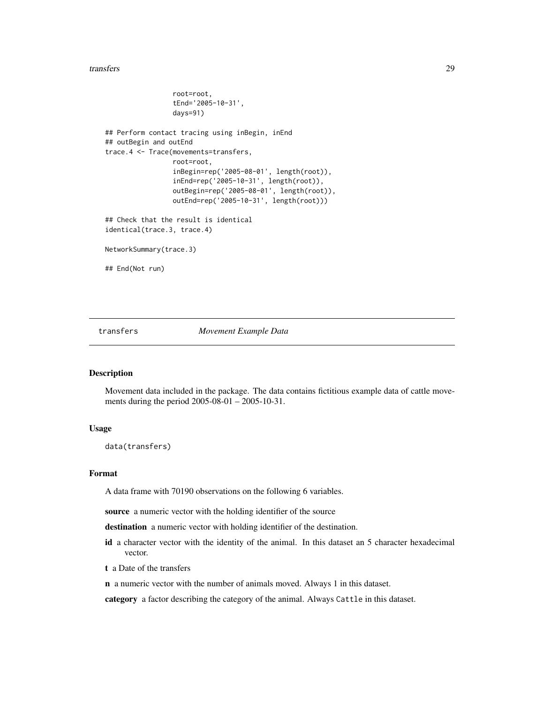#### <span id="page-28-0"></span>transfers 29

```
root=root,
                 tEnd='2005-10-31',
                 days=91)
## Perform contact tracing using inBegin, inEnd
## outBegin and outEnd
trace.4 <- Trace(movements=transfers,
                 root=root,
                 inBegin=rep('2005-08-01', length(root)),
                 inEnd=rep('2005-10-31', length(root)),
                 outBegin=rep('2005-08-01', length(root)),
                 outEnd=rep('2005-10-31', length(root)))
## Check that the result is identical
identical(trace.3, trace.4)
NetworkSummary(trace.3)
## End(Not run)
```
transfers *Movement Example Data*

#### Description

Movement data included in the package. The data contains fictitious example data of cattle movements during the period 2005-08-01 – 2005-10-31.

#### Usage

data(transfers)

#### Format

A data frame with 70190 observations on the following 6 variables.

source a numeric vector with the holding identifier of the source

destination a numeric vector with holding identifier of the destination.

- id a character vector with the identity of the animal. In this dataset an 5 character hexadecimal vector.
- t a Date of the transfers
- n a numeric vector with the number of animals moved. Always 1 in this dataset.

category a factor describing the category of the animal. Always Cattle in this dataset.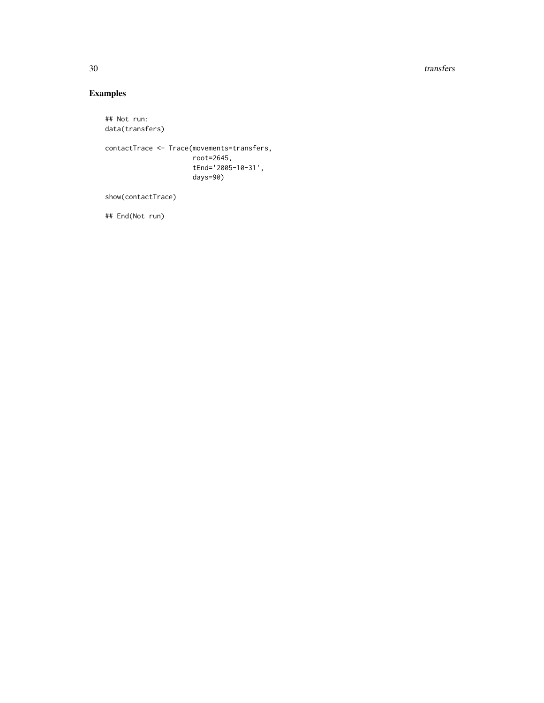30 transfers and the contract of the contract of the contract of the contract of the contract of the contract of the contract of the contract of the contract of the contract of the contract of the contract of the contract

# Examples

```
## Not run:
data(transfers)
contactTrace <- Trace(movements=transfers,
                     root=2645,
                     tEnd='2005-10-31',
                     days=90)
show(contactTrace)
```
## End(Not run)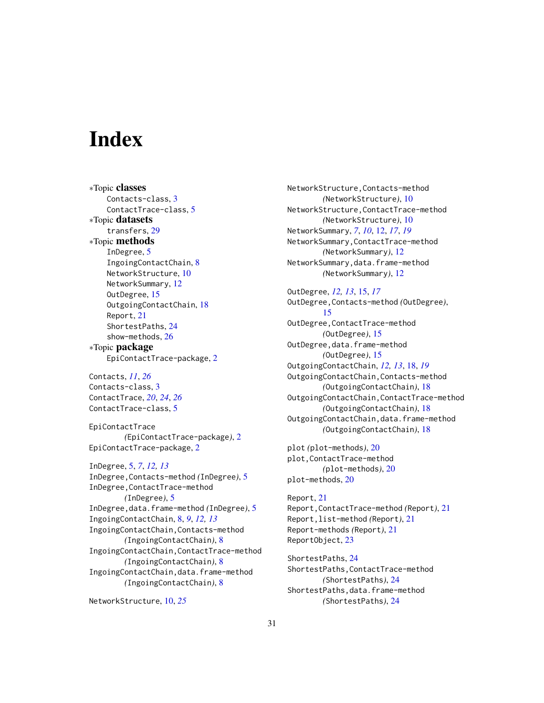# <span id="page-30-0"></span>**Index**

∗Topic classes Contacts-class, [3](#page-2-0) ContactTrace-class, [5](#page-4-0) ∗Topic datasets transfers, [29](#page-28-0) ∗Topic methods InDegree, [5](#page-4-0) IngoingContactChain, [8](#page-7-0) NetworkStructure, [10](#page-9-0) NetworkSummary, [12](#page-11-0) OutDegree, [15](#page-14-0) OutgoingContactChain, [18](#page-17-0) Report, [21](#page-20-0) ShortestPaths, [24](#page-23-0) show-methods, [26](#page-25-0) ∗Topic package EpiContactTrace-package, [2](#page-1-0)

Contacts, *[11](#page-10-0)*, *[26](#page-25-0)* Contacts-class, [3](#page-2-0) ContactTrace, *[20](#page-19-0)*, *[24](#page-23-0)*, *[26](#page-25-0)* ContactTrace-class, [5](#page-4-0)

EpiContactTrace *(*EpiContactTrace-package*)*, [2](#page-1-0) EpiContactTrace-package, [2](#page-1-0)

InDegree, [5,](#page-4-0) *[7](#page-6-0)*, *[12,](#page-11-0) [13](#page-12-0)* InDegree,Contacts-method *(*InDegree*)*, [5](#page-4-0) InDegree,ContactTrace-method *(*InDegree*)*, [5](#page-4-0) InDegree,data.frame-method *(*InDegree*)*, [5](#page-4-0) IngoingContactChain, [8,](#page-7-0) *[9](#page-8-0)*, *[12,](#page-11-0) [13](#page-12-0)* IngoingContactChain,Contacts-method *(*IngoingContactChain*)*, [8](#page-7-0) IngoingContactChain,ContactTrace-method *(*IngoingContactChain*)*, [8](#page-7-0) IngoingContactChain,data.frame-method *(*IngoingContactChain*)*, [8](#page-7-0)

NetworkStructure, [10,](#page-9-0) *[25](#page-24-0)*

NetworkStructure,Contacts-method *(*NetworkStructure*)*, [10](#page-9-0) NetworkStructure,ContactTrace-method *(*NetworkStructure*)*, [10](#page-9-0) NetworkSummary, *[7](#page-6-0)*, *[10](#page-9-0)*, [12,](#page-11-0) *[17](#page-16-0)*, *[19](#page-18-0)* NetworkSummary,ContactTrace-method *(*NetworkSummary*)*, [12](#page-11-0) NetworkSummary,data.frame-method *(*NetworkSummary*)*, [12](#page-11-0)

OutDegree, *[12,](#page-11-0) [13](#page-12-0)*, [15,](#page-14-0) *[17](#page-16-0)* OutDegree,Contacts-method *(*OutDegree*)*, [15](#page-14-0) OutDegree,ContactTrace-method *(*OutDegree*)*, [15](#page-14-0) OutDegree,data.frame-method *(*OutDegree*)*, [15](#page-14-0) OutgoingContactChain, *[12,](#page-11-0) [13](#page-12-0)*, [18,](#page-17-0) *[19](#page-18-0)* OutgoingContactChain,Contacts-method *(*OutgoingContactChain*)*, [18](#page-17-0) OutgoingContactChain,ContactTrace-method *(*OutgoingContactChain*)*, [18](#page-17-0) OutgoingContactChain,data.frame-method *(*OutgoingContactChain*)*, [18](#page-17-0)

plot *(*plot-methods*)*, [20](#page-19-0) plot,ContactTrace-method *(*plot-methods*)*, [20](#page-19-0) plot-methods, [20](#page-19-0)

Report, [21](#page-20-0) Report,ContactTrace-method *(*Report*)*, [21](#page-20-0) Report,list-method *(*Report*)*, [21](#page-20-0) Report-methods *(*Report*)*, [21](#page-20-0) ReportObject, [23](#page-22-0)

ShortestPaths, [24](#page-23-0) ShortestPaths,ContactTrace-method *(*ShortestPaths*)*, [24](#page-23-0) ShortestPaths,data.frame-method *(*ShortestPaths*)*, [24](#page-23-0)